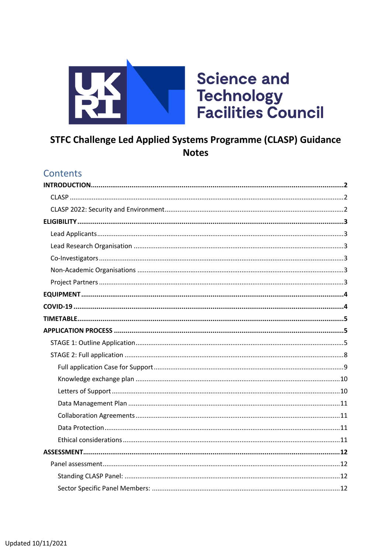

# STFC Challenge Led Applied Systems Programme (CLASP) Guidance **Notes**

## Contents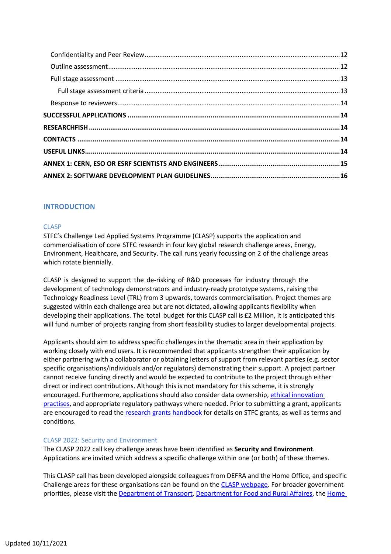## **INTRODUCTION**

#### **CLASP**

STFC's Challenge Led Applied Systems Programme (CLASP) supports the application and commercialisation of core STFC research in four key global research challenge areas, Energy, Environment, Healthcare, and Security. The call runs yearly focussing on 2 of the challenge areas which rotate biennially.

CLASP is designed to support the de-risking of R&D processes for industry through the development of technology demonstrators and industry-ready prototype systems, raising the Technology Readiness Level (TRL) from 3 upwards, towards commercialisation. Project themes are suggested within each challenge area but are not dictated, allowing applicants flexibility when developing their applications. The total budget for this CLASP call is £2 Million, it is anticipated this will fund number of projects ranging from short feasibility studies to larger developmental projects.

Applicants should aim to address specific challenges in the thematic area in their application by working closely with end users. It is recommended that applicants strengthen their application by either partnering with a collaborator or obtaining letters of support from relevant parties (e.g. sector specific organisations/individuals and/or regulators) demonstrating their support. A project partner cannot receive funding directly and would be expected to contribute to the project through either direct or indirect contributions. Although this is not mandatory for this scheme, it is strongly encouraged. Furthermore, applications should also consider data ownership, ethical innovation practises, and appropriate regulatory pathways where needed. Prior to submitting a grant, applicants are encouraged to read the research grants handbook for details on STFC grants, as well as terms and conditions.

#### CLASP 2022: Security and Environment

The CLASP 2022 call key challenge areas have been identified as **Security and Environment**. Applications are invited which address a specific challenge within one (or both) of these themes.

This CLASP call has been developed alongside colleagues from DEFRA and the Home Office, and specific Challenge areas for these organisations can be found on the CLASP webpage. For broader government priorities, please visit the Department of Transport, Department for Food and Rural Affaires, the Home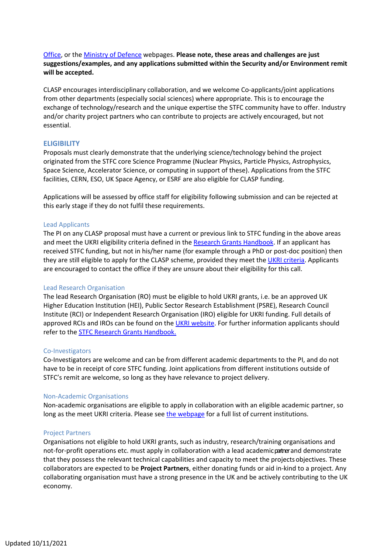Office, or the Ministry of Defence webpages. **Please note, these areas and challenges are just suggestions/examples, and any applications submitted within the Security and/or Environment remit will be accepted.**

CLASP encourages interdisciplinary collaboration, and we welcome Co-applicants/joint applications from other departments (especially social sciences) where appropriate. This is to encourage the exchange of technology/research and the unique expertise the STFC community have to offer. Industry and/or charity project partners who can contribute to projects are actively encouraged, but not essential.

## **ELIGIBILITY**

Proposals must clearly demonstrate that the underlying science/technology behind the project originated from the STFC core Science Programme (Nuclear Physics, Particle Physics, Astrophysics, Space Science, Accelerator Science, or computing in support of these). Applications from the STFC facilities, CERN, ESO, UK Space Agency, or ESRF are also eligible for CLASP funding.

Applications will be assessed by office staff for eligibility following submission and can be rejected at this early stage if they do not fulfil these requirements.

#### Lead Applicants

The PI on any CLASP proposal must have a current or previous link to STFC funding in the above areas and meet the UKRI eligibility criteria defined in the Research Grants Handbook. If an applicant has received STFC funding, but not in his/her name (for example through a PhD or post-doc position) then they are still eligible to apply for the CLASP scheme, provided they meet the UKRI criteria. Applicants are encouraged to contact the office if they are unsure about their eligibility for this call.

#### Lead Research Organisation

The lead Research Organisation (RO) must be eligible to hold UKRI grants, i.e. be an approved UK Higher Education Institution (HEI), Public Sector Research Establishment (PSRE), Research Council Institute (RCI) or Independent Research Organisation (IRO) eligible for UKRI funding. Full details of approved RCIs and IROs can be found on the UKRI website. For further information applicants should refer to the STFC Research Grants Handbook.

#### Co-Investigators

Co-Investigators are welcome and can be from different academic departments to the PI, and do not have to be in receipt of core STFC funding. Joint applications from different institutions outside of STFC's remit are welcome, so long as they have relevance to project delivery.

#### Non-Academic Organisations

Non-academic organisations are eligible to apply in collaboration with an eligible academic partner, so long as the meet UKRI criteria. Please see the webpage for a full list of current institutions.

#### Project Partners

Organisations not eligible to hold UKRI grants, such as industry, research/training organisations and not-for-profit operations etc. must apply in collaboration with a lead academic patrer and demonstrate that they possess the relevant technical capabilities and capacity to meet the projectsobjectives. These collaborators are expected to be **Project Partners**, either donating funds or aid in-kind to a project. Any collaborating organisation must have a strong presence in the UK and be actively contributing to the UK economy.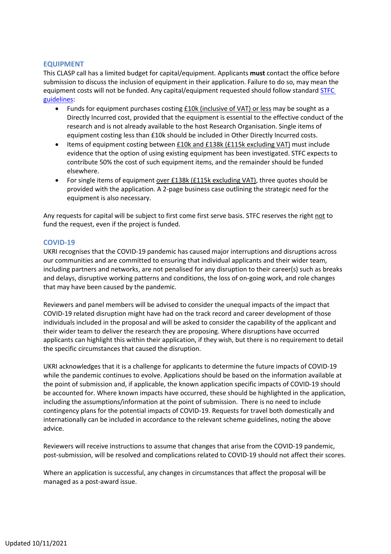## **EQUIPMENT**

This CLASP call has a limited budget for capital/equipment. Applicants **must** contact the office before submission to discuss the inclusion of equipment in their application. Failure to do so, may mean the equipment costs will not be funded. Any capital/equipment requested should follow standard STFC guidelines:

- Funds for equipment purchases costing £10k (inclusive of VAT) or less may be sought as a Directly Incurred cost, provided that the equipment is essential to the effective conduct of the research and is not already available to the host Research Organisation. Single items of equipment costing less than £10k should be included in Other Directly Incurred costs.
- Items of equipment costing between £10k and £138k (£115k excluding VAT) must include evidence that the option of using existing equipment has been investigated. STFC expects to contribute 50% the cost of such equipment items, and the remainder should be funded elsewhere.
- For single items of equipment over £138k (£115k excluding VAT), three quotes should be provided with the application. A 2-page business case outlining the strategic need for the equipment is also necessary.

Any requests for capital will be subject to first come first serve basis. STFC reserves the right not to fund the request, even if the project is funded.

## **COVID-19**

UKRI recognises that the COVID-19 pandemic has caused major interruptions and disruptions across our communities and are committed to ensuring that individual applicants and their wider team, including partners and networks, are not penalised for any disruption to their career(s) such as breaks and delays, disruptive working patterns and conditions, the loss of on-going work, and role changes that may have been caused by the pandemic.

Reviewers and panel members will be advised to consider the unequal impacts of the impact that COVID-19 related disruption might have had on the track record and career development of those individuals included in the proposal and will be asked to consider the capability of the applicant and their wider team to deliver the research they are proposing. Where disruptions have occurred applicants can highlight this within their application, if they wish, but there is no requirement to detail the specific circumstances that caused the disruption.

UKRI acknowledges that it is a challenge for applicants to determine the future impacts of COVID-19 while the pandemic continues to evolve. Applications should be based on the information available at the point of submission and, if applicable, the known application specific impacts of COVID-19 should be accounted for. Where known impacts have occurred, these should be highlighted in the application, including the assumptions/information at the point of submission. There is no need to include contingency plans for the potential impacts of COVID-19. Requests for travel both domestically and internationally can be included in accordance to the relevant scheme guidelines, noting the above advice.

Reviewers will receive instructions to assume that changes that arise from the COVID-19 pandemic, post-submission, will be resolved and complications related to COVID-19 should not affect their scores.

Where an application is successful, any changes in circumstances that affect the proposal will be managed as a post-award issue.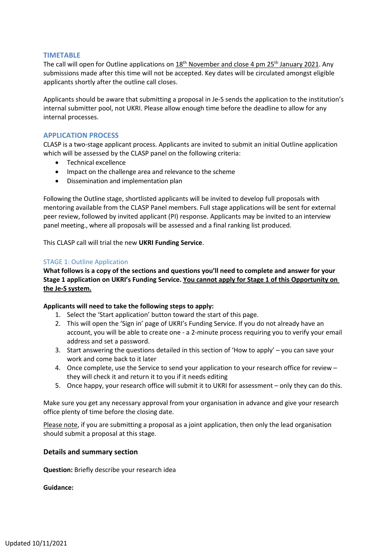#### **TIMETABLE**

The call will open for Outline applications on  $18<sup>th</sup>$  November and close 4 pm 25<sup>th</sup> January 2021. Any submissions made after this time will not be accepted. Key dates will be circulated amongst eligible applicants shortly after the outline call closes.

Applicants should be aware that submitting a proposal in Je-S sends the application to the institution's internal submitter pool, not UKRI. Please allow enough time before the deadline to allow for any internal processes.

## **APPLICATION PROCESS**

CLASP is a two-stage applicant process. Applicants are invited to submit an initial Outline application which will be assessed by the CLASP panel on the following criteria:

- Technical excellence
- Impact on the challenge area and relevance to the scheme
- Dissemination and implementation plan

Following the Outline stage, shortlisted applicants will be invited to develop full proposals with mentoring available from the CLASP Panel members. Full stage applications will be sent for external peer review, followed by invited applicant (PI) response. Applicants may be invited to an interview panel meeting., where all proposals will be assessed and a final ranking list produced.

This CLASP call will trial the new **UKRI Funding Service**.

#### STAGE 1: Outline Application

**What follows is a copy of the sections and questions you'll need to complete and answer for your Stage 1 application on UKRI's Funding Service. You cannot apply for Stage 1 of this Opportunity on the Je-S system.**

#### **Applicants will need to take the following steps to apply:**

- 1. Select the 'Start application' button toward the start of this page.
- 2. This will open the 'Sign in' page of UKRI's Funding Service. If you do not already have an account, you will be able to create one - a 2-minute process requiring you to verify your email address and set a password.
- 3. Start answering the questions detailed in this section of 'How to apply' you can save your work and come back to it later
- 4. Once complete, use the Service to send your application to your research office for review they will check it and return it to you if it needs editing
- 5. Once happy, your research office will submit it to UKRI for assessment only they can do this.

Make sure you get any necessary approval from your organisation in advance and give your research office plenty of time before the closing date.

Please note, if you are submitting a proposal as a joint application, then only the lead organisation should submit a proposal at this stage.

#### **Details and summary section**

**Question:** Briefly describe your research idea

**Guidance:**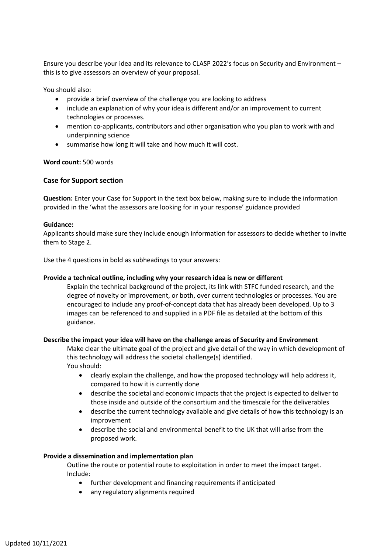Ensure you describe your idea and its relevance to CLASP 2022's focus on Security and Environment – this is to give assessors an overview of your proposal.

You should also:

- provide a brief overview of the challenge you are looking to address
- include an explanation of why your idea is different and/or an improvement to current technologies or processes.
- mention co-applicants, contributors and other organisation who you plan to work with and underpinning science
- summarise how long it will take and how much it will cost.

**Word count:** 500 words

#### **Case for Support section**

**Question:** Enter your Case for Support in the text box below, making sure to include the information provided in the 'what the assessors are looking for in your response' guidance provided

#### **Guidance:**

Applicants should make sure they include enough information for assessors to decide whether to invite them to Stage 2.

Use the 4 questions in bold as subheadings to your answers:

#### **Provide a technical outline, including why your research idea is new or different**

Explain the technical background of the project, its link with STFC funded research, and the degree of novelty or improvement, or both, over current technologies or processes. You are encouraged to include any proof-of-concept data that has already been developed. Up to 3 images can be referenced to and supplied in a PDF file as detailed at the bottom of this guidance.

#### **Describe the impact your idea will have on the challenge areas of Security and Environment**

Make clear the ultimate goal of the project and give detail of the way in which development of this technology will address the societal challenge(s) identified. You should:

- clearly explain the challenge, and how the proposed technology will help address it, compared to how it is currently done
- describe the societal and economic impacts that the project is expected to deliver to those inside and outside of the consortium and the timescale for the deliverables
- describe the current technology available and give details of how this technology is an improvement
- describe the social and environmental benefit to the UK that will arise from the proposed work.

#### **Provide a dissemination and implementation plan**

Outline the route or potential route to exploitation in order to meet the impact target. Include:

- further development and financing requirements if anticipated
- any regulatory alignments required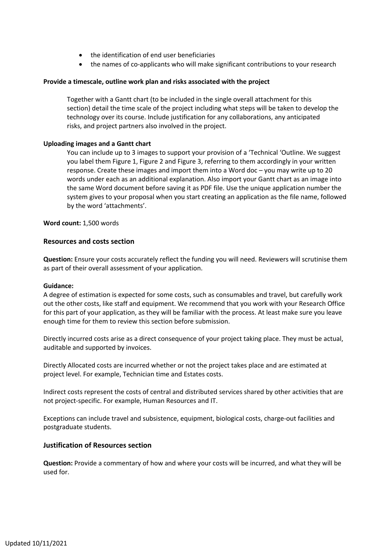- the identification of end user beneficiaries
- the names of co-applicants who will make significant contributions to your research

#### **Provide a timescale, outline work plan and risks associated with the project**

Together with a Gantt chart (to be included in the single overall attachment for this section) detail the time scale of the project including what steps will be taken to develop the technology over its course. Include justification for any collaborations, any anticipated risks, and project partners also involved in the project.

#### **Uploading images and a Gantt chart**

You can include up to 3 images to support your provision of a 'Technical 'Outline. We suggest you label them Figure 1, Figure 2 and Figure 3, referring to them accordingly in your written response. Create these images and import them into a Word doc – you may write up to 20 words under each as an additional explanation. Also import your Gantt chart as an image into the same Word document before saving it as PDF file. Use the unique application number the system gives to your proposal when you start creating an application as the file name, followed by the word 'attachments'.

#### **Word count:** 1,500 words

#### **Resources and costs section**

**Question:** Ensure your costs accurately reflect the funding you will need. Reviewers will scrutinise them as part of their overall assessment of your application.

#### **Guidance:**

A degree of estimation is expected for some costs, such as consumables and travel, but carefully work out the other costs, like staff and equipment. We recommend that you work with your Research Office for this part of your application, as they will be familiar with the process. At least make sure you leave enough time for them to review this section before submission.

Directly incurred costs arise as a direct consequence of your project taking place. They must be actual, auditable and supported by invoices.

Directly Allocated costs are incurred whether or not the project takes place and are estimated at project level. For example, Technician time and Estates costs.

Indirect costs represent the costs of central and distributed services shared by other activities that are not project-specific. For example, Human Resources and IT.

Exceptions can include travel and subsistence, equipment, biological costs, charge-out facilities and postgraduate students.

#### **Justification of Resources section**

**Question:** Provide a commentary of how and where your costs will be incurred, and what they will be used for.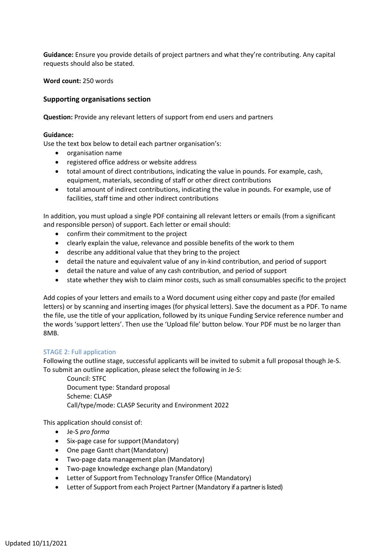**Guidance:** Ensure you provide details of project partners and what they're contributing. Any capital requests should also be stated.

**Word count:** 250 words

## **Supporting organisations section**

**Question:** Provide any relevant letters of support from end users and partners

#### **Guidance:**

Use the text box below to detail each partner organisation's:

- organisation name
- registered office address or website address
- total amount of direct contributions, indicating the value in pounds. For example, cash, equipment, materials, seconding of staff or other direct contributions
- total amount of indirect contributions, indicating the value in pounds. For example, use of facilities, staff time and other indirect contributions

In addition, you must upload a single PDF containing all relevant letters or emails (from a significant and responsible person) of support. Each letter or email should:

- confirm their commitment to the project
- clearly explain the value, relevance and possible benefits of the work to them
- describe any additional value that they bring to the project
- detail the nature and equivalent value of any in-kind contribution, and period of support
- detail the nature and value of any cash contribution, and period of support
- state whether they wish to claim minor costs, such as small consumables specific to the project

Add copies of your letters and emails to a Word document using either copy and paste (for emailed letters) or by scanning and inserting images (for physical letters). Save the document as a PDF. To name the file, use the title of your application, followed by its unique Funding Service reference number and the words 'support letters'. Then use the 'Upload file' button below. Your PDF must be no larger than 8MB.

#### STAGE 2: Full application

Following the outline stage, successful applicants will be invited to submit a full proposal though Je-S. To submit an outline application, please select the following in Je-S:

Council: STFC Document type: Standard proposal Scheme: CLASP Call/type/mode: CLASP Security and Environment 2022

This application should consist of:

- Je-S *pro forma*
- Six-page case for support(Mandatory)
- One page Gantt chart(Mandatory)
- Two-page data management plan (Mandatory)
- Two-page knowledge exchange plan (Mandatory)
- Letter of Support from Technology Transfer Office (Mandatory)
- Letter of Support from each Project Partner (Mandatory if a partner is listed)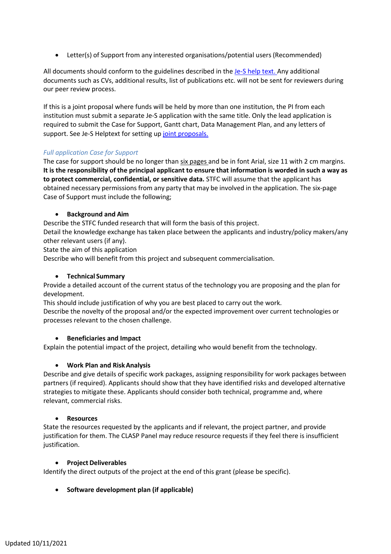• Letter(s) of Support from any interested organisations/potential users(Recommended)

All documents should conform to the guidelines described in the Je-S help text. Any additional documents such as CVs, additional results, list of publications etc. will not be sent for reviewers during our peer review process.

If this is a joint proposal where funds will be held by more than one institution, the PI from each institution must submit a separate Je-S application with the same title. Only the lead application is required to submit the Case for Support, Gantt chart, Data Management Plan, and any letters of support. See Je-S Helptext for setting up joint proposals.

## *Full application Case for Support*

The case for support should be no longer than six pages and be in font Arial, size 11 with 2 cm margins. **It is the responsibility of the principal applicant to ensure that information is worded in such a way as to protect commercial, confidential, or sensitive data.** STFC will assume that the applicant has obtained necessary permissions from any party that may be involved in the application. The six-page Case of Support must include the following;

## • **Background and Aim**

Describe the STFC funded research that will form the basis of this project.

Detail the knowledge exchange has taken place between the applicants and industry/policy makers/any other relevant users (if any).

State the aim of this application

Describe who will benefit from this project and subsequent commercialisation.

## • **Technical Summary**

Provide a detailed account of the current status of the technology you are proposing and the plan for development.

This should include justification of why you are best placed to carry out the work.

Describe the novelty of the proposal and/or the expected improvement over current technologies or processes relevant to the chosen challenge.

## • **Beneficiaries and Impact**

Explain the potential impact of the project, detailing who would benefit from the technology.

#### • **Work Plan and RiskAnalysis**

Describe and give details of specific work packages, assigning responsibility for work packages between partners (if required). Applicants should show that they have identified risks and developed alternative strategies to mitigate these. Applicants should consider both technical, programme and, where relevant, commercial risks.

#### • **Resources**

State the resources requested by the applicants and if relevant, the project partner, and provide justification for them. The CLASP Panel may reduce resource requests if they feel there is insufficient justification.

#### **Project Deliverables**

Identify the direct outputs of the project at the end of this grant (please be specific).

## • **Software development plan (if applicable)**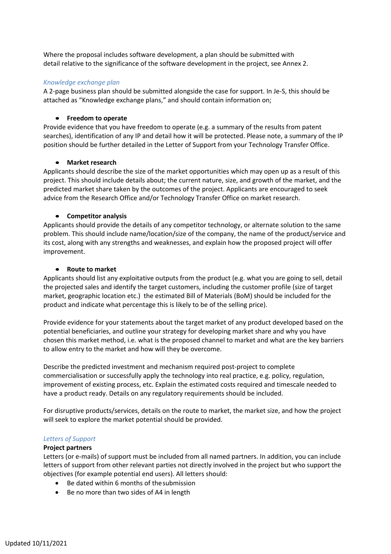Where the proposal includes software development, a plan should be submitted with detail relative to the significance of the software development in the project, see Annex 2.

#### *Knowledge exchange plan*

A 2-page business plan should be submitted alongside the case for support. In Je-S, this should be attached as "Knowledge exchange plans," and should contain information on;

## • **Freedom to operate**

Provide evidence that you have freedom to operate (e.g. a summary of the results from patent searches), identification of any IP and detail how it will be protected. Please note, a summary of the IP position should be further detailed in the Letter of Support from your Technology Transfer Office.

## • **Market research**

Applicants should describe the size of the market opportunities which may open up as a result of this project. This should include details about; the current nature, size, and growth of the market, and the predicted market share taken by the outcomes of the project. Applicants are encouraged to seek advice from the Research Office and/or Technology Transfer Office on market research.

## • **Competitor analysis**

Applicants should provide the details of any competitor technology, or alternate solution to the same problem. This should include name/location/size of the company, the name of the product/service and its cost, along with any strengths and weaknesses, and explain how the proposed project will offer improvement.

## • **Route to market**

Applicants should list any exploitative outputs from the product (e.g. what you are going to sell, detail the projected sales and identify the target customers, including the customer profile (size of target market, geographic location etc.) the estimated Bill of Materials (BoM) should be included for the product and indicate what percentage this is likely to be of the selling price).

Provide evidence for your statements about the target market of any product developed based on the potential beneficiaries, and outline your strategy for developing market share and why you have chosen this market method, i.e. what is the proposed channel to market and what are the key barriers to allow entry to the market and how will they be overcome.

Describe the predicted investment and mechanism required post-project to complete commercialisation or successfully apply the technology into real practice, e.g. policy, regulation, improvement of existing process, etc. Explain the estimated costs required and timescale needed to have a product ready. Details on any regulatory requirements should be included.

For disruptive products/services, details on the route to market, the market size, and how the project will seek to explore the market potential should be provided.

## *Letters of Support*

#### **Project partners**

Letters (or e-mails) of support must be included from all named partners. In addition, you can include letters of support from other relevant parties not directly involved in the project but who support the objectives (for example potential end users). All letters should:

- Be dated within 6 months of thesubmission
- Be no more than two sides of A4 in length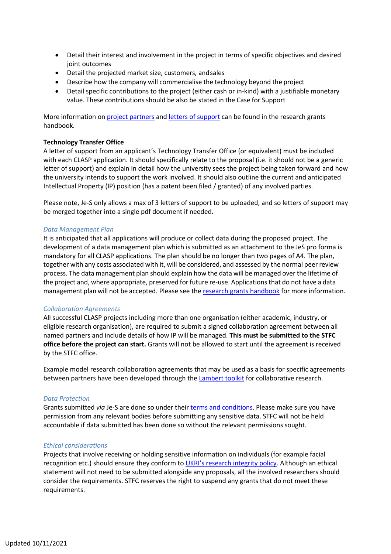- Detail their interest and involvement in the project in terms of specific objectives and desired joint outcomes
- Detail the projected market size, customers, andsales
- Describe how the company will commercialise the technology beyond the project
- Detail specific contributions to the project (either cash or in-kind) with a justifiable monetary value. These contributions should be also be stated in the Case for Support

More information on project partners and letters of support can be found in the research grants handbook.

#### **Technology Transfer Office**

A letter of support from an applicant's Technology Transfer Office (or equivalent) must be included with each CLASP application. It should specifically relate to the proposal (i.e. it should not be a generic letter of support) and explain in detail how the university sees the project being taken forward and how the university intends to support the work involved. It should also outline the current and anticipated Intellectual Property (IP) position (has a patent been filed / granted) of any involved parties.

Please note, Je-S only allows a max of 3 letters of support to be uploaded, and so letters of support may be merged together into a single pdf document if needed.

#### *Data Management Plan*

It is anticipated that all applications will produce or collect data during the proposed project. The development of a data management plan which is submitted as an attachment to the JeS pro forma is mandatory for all CLASP applications. The plan should be no longer than two pages of A4. The plan, together with any costs associated with it, will be considered, and assessed by the normal peer review process. The data management plan should explain how the data will be managed over the lifetime of the project and, where appropriate, preserved for future re-use. Applicationsthat do not have a data management plan will not be accepted. Please see the research grants handbook for more information.

#### *Collaboration Agreements*

All successful CLASP projects including more than one organisation (either academic, industry, or eligible research organisation), are required to submit a signed collaboration agreement between all named partners and include details of how IP will be managed. **This must be submitted to the STFC office before the project can start.** Grants will not be allowed to start until the agreement is received by the STFC office.

Example model research collaboration agreements that may be used as a basis for specific agreements between partners have been developed through the Lambert toolkit for collaborative research.

#### *Data Protection*

Grants submitted *via* Je-S are done so under their terms and conditions. Please make sure you have permission from any relevant bodies before submitting any sensitive data. STFC will not be held accountable if data submitted has been done so without the relevant permissions sought.

#### *Ethical considerations*

Projects that involve receiving or holding sensitive information on individuals (for example facial recognition etc.) should ensure they conform to UKRI's research integrity policy. Although an ethical statement will not need to be submitted alongside any proposals, all the involved researchers should consider the requirements. STFC reserves the right to suspend any grants that do not meet these requirements.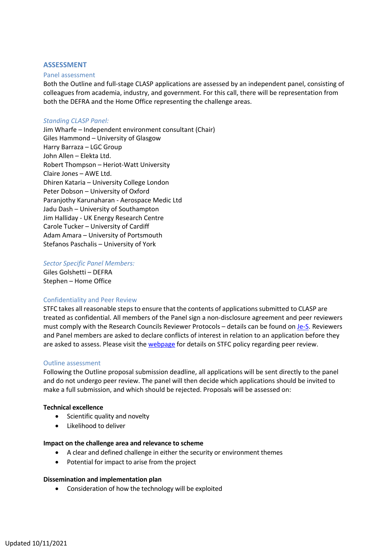#### **ASSESSMENT**

#### Panel assessment

Both the Outline and full-stage CLASP applications are assessed by an independent panel, consisting of colleagues from academia, industry, and government. For this call, there will be representation from both the DEFRA and the Home Office representing the challenge areas.

#### *Standing CLASP Panel:*

Jim Wharfe – Independent environment consultant (Chair) Giles Hammond – University of Glasgow Harry Barraza – LGC Group John Allen – Elekta Ltd. Robert Thompson – Heriot-Watt University Claire Jones – AWE Ltd. Dhiren Kataria – University College London Peter Dobson – University of Oxford Paranjothy Karunaharan - Aerospace Medic Ltd Jadu Dash – University of Southampton Jim Halliday - UK Energy Research Centre Carole Tucker – University of Cardiff Adam Amara – University of Portsmouth Stefanos Paschalis – University of York

#### *Sector Specific Panel Members:*

Giles Golshetti – DEFRA Stephen – Home Office

#### Confidentiality and Peer Review

STFC takes all reasonable steps to ensure that the contents of applications submitted to CLASP are treated as confidential. All members of the Panel sign a non-disclosure agreement and peer reviewers must comply with the Research Councils Reviewer Protocols – details can be found on Je-S. Reviewers and Panel members are asked to declare conflicts of interest in relation to an application before they are asked to assess. Please visit the webpage for details on STFC policy regarding peer review.

#### Outline assessment

Following the Outline proposal submission deadline, all applications will be sent directly to the panel and do not undergo peer review. The panel will then decide which applications should be invited to make a full submission, and which should be rejected. Proposals will be assessed on:

#### **Technical excellence**

- Scientific quality and novelty
- Likelihood to deliver

#### **Impact on the challenge area and relevance to scheme**

- A clear and defined challenge in either the security or environment themes
- Potential for impact to arise from the project

#### **Dissemination and implementation plan**

• Consideration of how the technology will be exploited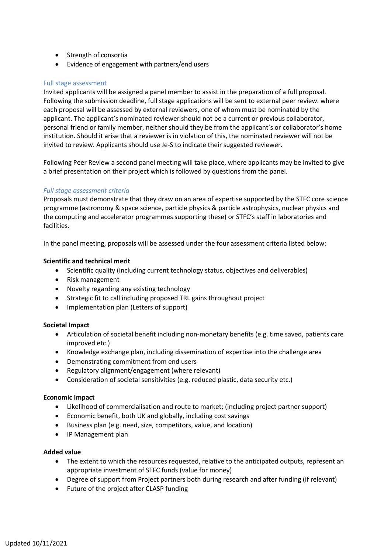- Strength of consortia
- Evidence of engagement with partners/end users

## Full stage assessment

Invited applicants will be assigned a panel member to assist in the preparation of a full proposal. Following the submission deadline, full stage applications will be sent to external peer review. where each proposal will be assessed by external reviewers, one of whom must be nominated by the applicant. The applicant's nominated reviewer should not be a current or previous collaborator, personal friend or family member, neither should they be from the applicant's or collaborator's home institution. Should it arise that a reviewer is in violation of this, the nominated reviewer will not be invited to review. Applicants should use Je-S to indicate their suggested reviewer.

Following Peer Review a second panel meeting will take place, where applicants may be invited to give a brief presentation on their project which is followed by questions from the panel.

## *Full stage assessment criteria*

Proposals must demonstrate that they draw on an area of expertise supported by the STFC core science programme (astronomy & space science, particle physics & particle astrophysics, nuclear physics and the computing and accelerator programmes supporting these) or STFC's staff in laboratories and facilities.

In the panel meeting, proposals will be assessed under the four assessment criteria listed below:

#### **Scientific and technical merit**

- Scientific quality (including current technology status, objectives and deliverables)
- Risk management
- Novelty regarding any existing technology
- Strategic fit to call including proposed TRL gains throughout project
- Implementation plan (Letters of support)

#### **Societal Impact**

- Articulation of societal benefit including non-monetary benefits (e.g. time saved, patients care improved etc.)
- Knowledge exchange plan, including dissemination of expertise into the challenge area
- Demonstrating commitment from end users
- Regulatory alignment/engagement (where relevant)
- Consideration of societal sensitivities (e.g. reduced plastic, data security etc.)

#### **Economic Impact**

- Likelihood of commercialisation and route to market; (including project partner support)
- Economic benefit, both UK and globally, including cost savings
- Business plan (e.g. need, size, competitors, value, and location)
- IP Management plan

#### **Added value**

- The extent to which the resources requested, relative to the anticipated outputs, represent an appropriate investment of STFC funds (value for money)
- Degree of support from Project partners both during research and after funding (if relevant)
- Future of the project after CLASP funding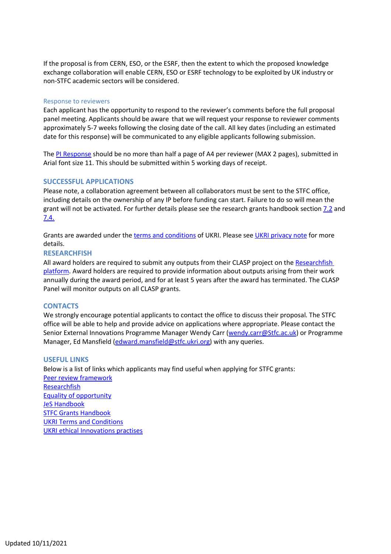If the proposal is from CERN, ESO, or the ESRF, then the extent to which the proposed knowledge exchange collaboration will enable CERN, ESO or ESRF technology to be exploited by UK industry or non-STFC academic sectors will be considered.

#### Response to reviewers

Each applicant has the opportunity to respond to the reviewer's comments before the full proposal panel meeting. Applicants should be aware that we will request your response to reviewer comments approximately 5-7 weeks following the closing date of the call. All key dates (including an estimated date for this response) will be communicated to any eligible applicants following submission.

The PI Response should be no more than half a page of A4 per reviewer (MAX 2 pages), submitted in Arial font size 11. This should be submitted within 5 working days of receipt.

#### **SUCCESSFUL APPLICATIONS**

Please note, a collaboration agreement between all collaborators must be sent to the STFC office, including details on the ownership of any IP before funding can start. Failure to do so will mean the grant will not be activated. For further details please see the research grants handbook section 7.2 and 7.4.

Grants are awarded under the terms and conditions of UKRI. Please see UKRI privacy note for more details.

#### **RESEARCHFISH**

All award holders are required to submit any outputs from their CLASP project on the Researchfish platform. Award holders are required to provide information about outputs arising from their work annually during the award period, and for at least 5 years after the award has terminated. The CLASP Panel will monitor outputs on all CLASP grants.

#### **CONTACTS**

We strongly encourage potential applicants to contact the office to discuss their proposal. The STFC office will be able to help and provide advice on applications where appropriate. Please contact the Senior External Innovations Programme Manager Wendy Carr (wendy.carr@Stfc.ac.uk) or Programme Manager, Ed Mansfield (edward.mansfield@stfc.ukri.org) with any queries.

#### **USEFUL LINKS**

Below is a list of links which applicants may find useful when applying for STFC grants: Peer review framework **Researchfish** Equality of opportunity JeS Handbook STFC Grants Handbook UKRI Terms and Conditions UKRI ethical Innovations practises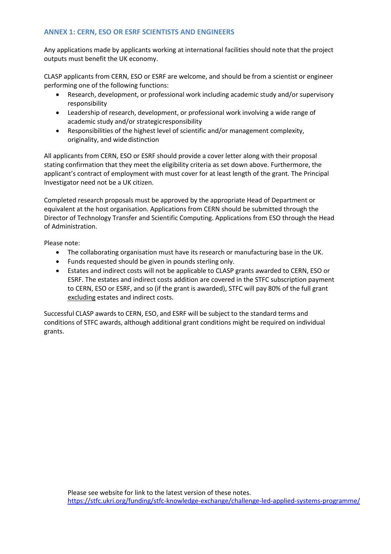## **ANNEX 1: CERN, ESO OR ESRF SCIENTISTS AND ENGINEERS**

Any applications made by applicants working at international facilities should note that the project outputs must benefit the UK economy.

CLASP applicants from CERN, ESO or ESRF are welcome, and should be from a scientist or engineer performing one of the following functions:

- Research, development, or professional work including academic study and/or supervisory responsibility
- Leadership of research, development, or professional work involving a wide range of academic study and/or strategicresponsibility
- Responsibilities of the highest level of scientific and/or management complexity, originality, and widedistinction

All applicants from CERN, ESO or ESRF should provide a cover letter along with their proposal stating confirmation that they meet the eligibility criteria as set down above. Furthermore, the applicant's contract of employment with must cover for at least length of the grant. The Principal Investigator need not be a UK citizen.

Completed research proposals must be approved by the appropriate Head of Department or equivalent at the host organisation. Applications from CERN should be submitted through the Director of Technology Transfer and Scientific Computing. Applications from ESO through the Head of Administration.

Please note:

- The collaborating organisation must have its research or manufacturing base in the UK.
- Funds requested should be given in pounds sterling only.
- Estates and indirect costs will not be applicable to CLASP grants awarded to CERN, ESO or ESRF. The estates and indirect costs addition are covered in the STFC subscription payment to CERN, ESO or ESRF, and so (if the grant is awarded), STFC will pay 80% of the full grant excluding estates and indirect costs.

Successful CLASP awards to CERN, ESO, and ESRF will be subject to the standard terms and conditions of STFC awards, although additional grant conditions might be required on individual grants.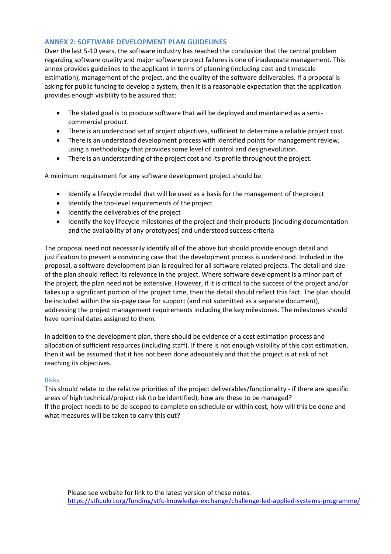## **ANNEX 2: SOFTWARE DEVELOPMENT PLAN GUIDELINES**

Over the last 5-10 years, the software industry has reached the conclusion that the central problem regarding software quality and major software project failures is one of inadequate management. This annex provides guidelines to the applicant in terms of planning (including cost and timescale estimation), management of the project, and the quality of the software deliverables. If a proposal is asking for public funding to develop a system, then it is a reasonable expectation that the application provides enough visibility to be assured that:

- The stated goal is to produce software that will be deployed and maintained as a semicommercial product.
- There is an understood set of project objectives, sufficient to determine a reliable project cost.
- There is an understood development process with identified points for management review, using a methodology that provides some level of control and designevolution.
- There is an understanding of the project cost and its profile throughout the project.

A minimum requirement for any software development project should be:

- Identify a lifecycle model that will be used as a basis for the management of theproject
- Identify the top-level requirements of the project
- Identify the deliverables of the project
- Identify the key lifecycle milestones of the project and their products (including documentation and the availability of any prototypes) and understood success criteria

The proposal need not necessarily identify all of the above but should provide enough detail and justification to present a convincing case that the development process is understood. Included in the proposal, a software development plan is required for all software related projects. The detail and size of the plan should reflect its relevance in the project. Where software development is a minor part of the project, the plan need not be extensive. However, if it is critical to the success of the project and/or takes up a significant portion of the project time, then the detail should reflect this fact. The plan should be included within the six-page case for support (and not submitted as a separate document), addressing the project management requirements including the key milestones. The milestones should have nominal dates assigned to them.

In addition to the development plan, there should be evidence of a cost estimation process and allocation of sufficient resources (including staff). If there is not enough visibility of this cost estimation, then it will be assumed that it has not been done adequately and that the project is at risk of not reaching its objectives.

#### Risks

This should relate to the relative priorities of the project deliverables/functionality - if there are specific areas of high technical/project risk (to be identified), how are these to be managed? If the project needs to be de-scoped to complete on schedule or within cost, how will this be done and what measures will be taken to carry this out?